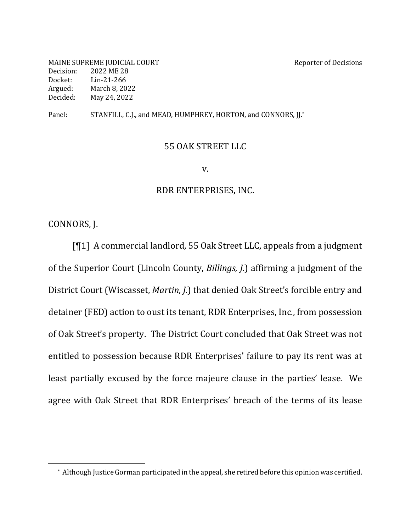MAINE SUPREME JUDICIAL COURT SERVICES AND REPORT AND REPORT OF DECISIONS Decision: 2022 ME 28 Docket: Lin-21-266 Argued: March 8, 2022 Decided: May 24, 2022

Panel: STANFILL, C.J., and MEAD, HUMPHREY, HORTON, and CONNORS, JJ.\*

#### 55 OAK STREET LLC

v.

#### RDR ENTERPRISES, INC.

CONNORS, J.

[¶1] A commercial landlord, 55 Oak Street LLC, appeals from a judgment of the Superior Court (Lincoln County, *Billings, J.*) affirming a judgment of the District Court (Wiscasset, *Martin, J.*) that denied Oak Street's forcible entry and detainer (FED) action to oust its tenant, RDR Enterprises, Inc., from possession of Oak Street's property. The District Court concluded that Oak Street was not entitled to possession because RDR Enterprises' failure to pay its rent was at least partially excused by the force majeure clause in the parties' lease. We agree with Oak Street that RDR Enterprises' breach of the terms of its lease

<sup>\*</sup> Although Justice Gorman participated in the appeal, she retired before this opinion was certified.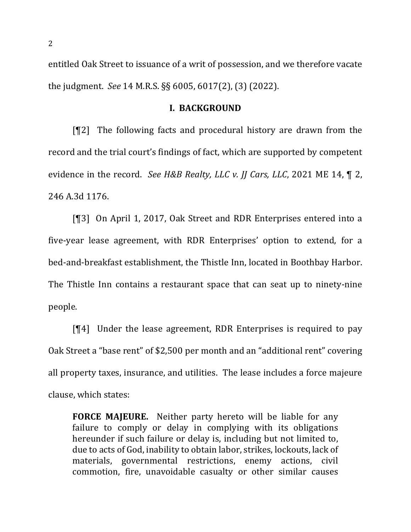entitled Oak Street to issuance of a writ of possession, and we therefore vacate the judgment. *See* 14 M.R.S. §§ 6005, 6017(2), (3) (2022).

### **I. BACKGROUND**

 $[92]$  The following facts and procedural history are drawn from the record and the trial court's findings of fact, which are supported by competent evidence in the record. *See H&B Realty, LLC v. JJ Cars, LLC*, 2021 ME 14, 1 2, 246 A.3d 1176.

[¶3] On April 1, 2017, Oak Street and RDR Enterprises entered into a five-year lease agreement, with RDR Enterprises' option to extend, for a bed-and-breakfast establishment, the Thistle Inn, located in Boothbay Harbor. The Thistle Inn contains a restaurant space that can seat up to ninety-nine people.

 $[\P4]$  Under the lease agreement, RDR Enterprises is required to pay Oak Street a "base rent" of \$2,500 per month and an "additional rent" covering all property taxes, insurance, and utilities. The lease includes a force majeure clause, which states:

**FORCE MAJEURE.** Neither party hereto will be liable for any failure to comply or delay in complying with its obligations hereunder if such failure or delay is, including but not limited to, due to acts of God, inability to obtain labor, strikes, lockouts, lack of materials, governmental restrictions, enemy actions, civil commotion, fire, unavoidable casualty or other similar causes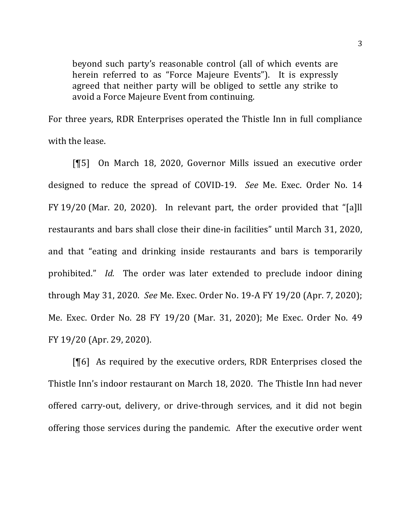beyond such party's reasonable control (all of which events are herein referred to as "Force Majeure Events"). It is expressly agreed that neither party will be obliged to settle any strike to avoid a Force Majeure Event from continuing.

For three years, RDR Enterprises operated the Thistle Inn in full compliance with the lease.

[¶5] On March 18, 2020, Governor Mills issued an executive order designed to reduce the spread of COVID-19. *See* Me. Exec. Order No. 14 FY 19/20 (Mar. 20, 2020). In relevant part, the order provided that "[a]ll restaurants and bars shall close their dine-in facilities" until March 31, 2020, and that "eating and drinking inside restaurants and bars is temporarily prohibited." *Id.* The order was later extended to preclude indoor dining through May 31, 2020. *See* Me. Exec. Order No. 19-A FY 19/20 (Apr. 7, 2020); Me. Exec. Order No. 28 FY 19/20 (Mar. 31, 2020); Me Exec. Order No. 49 FY 19/20 (Apr. 29, 2020).

[¶6] As required by the executive orders, RDR Enterprises closed the Thistle Inn's indoor restaurant on March 18, 2020. The Thistle Inn had never offered carry-out, delivery, or drive-through services, and it did not begin offering those services during the pandemic. After the executive order went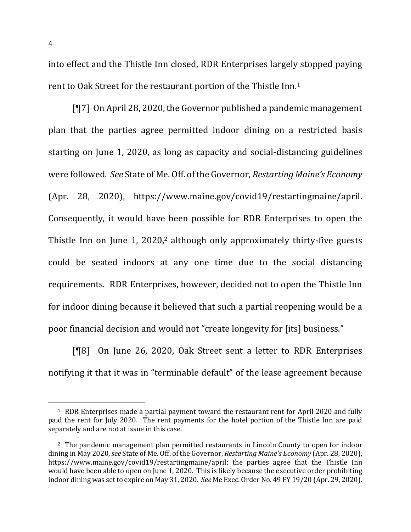into effect and the Thistle Inn closed, RDR Enterprises largely stopped paying rent to Oak Street for the restaurant portion of the Thistle Inn.<sup>1</sup>

 $[T7]$  On April 28, 2020, the Governor published a pandemic management plan that the parties agree permitted indoor dining on a restricted basis starting on June 1, 2020, as long as capacity and social-distancing guidelines were followed. See State of Me. Off. of the Governor, *Restarting Maine's Economy* (Apr. 28, 2020), https://www.maine.gov/covid19/restartingmaine/april. Consequently, it would have been possible for RDR Enterprises to open the Thistle Inn on June 1,  $2020$ ,<sup>2</sup> although only approximately thirty-five guests could be seated indoors at any one time due to the social distancing requirements. RDR Enterprises, however, decided not to open the Thistle Inn for indoor dining because it believed that such a partial reopening would be a poor financial decision and would not "create longevity for [its] business."

**[**¶8] On June 26, 2020, Oak Street sent a letter to RDR Enterprises notifying it that it was in "terminable default" of the lease agreement because

 $1$  RDR Enterprises made a partial payment toward the restaurant rent for April 2020 and fully paid the rent for July 2020. The rent payments for the hotel portion of the Thistle Inn are paid separately and are not at issue in this case.

<sup>&</sup>lt;sup>2</sup> The pandemic management plan permitted restaurants in Lincoln County to open for indoor dining in May 2020, *see* State of Me. Off. of the Governor, *Restarting Maine's Economy* (Apr. 28, 2020), https://www.maine.gov/covid19/restartingmaine/april; the parties agree that the Thistle Inn would have been able to open on June 1, 2020. This is likely because the executive order prohibiting indoor dining was set to expire on May 31, 2020. *See* Me Exec. Order No. 49 FY 19/20 (Apr. 29, 2020).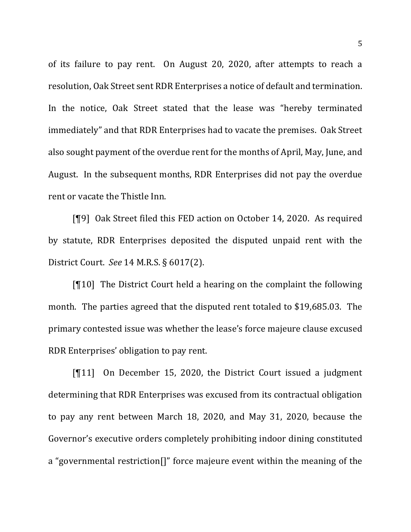of its failure to pay rent. On August 20, 2020, after attempts to reach a resolution, Oak Street sent RDR Enterprises a notice of default and termination. In the notice, Oak Street stated that the lease was "hereby terminated immediately" and that RDR Enterprises had to vacate the premises. Oak Street also sought payment of the overdue rent for the months of April, May, June, and August. In the subsequent months, RDR Enterprises did not pay the overdue rent or vacate the Thistle Inn.

[¶9] Oak Street filed this FED action on October 14, 2020. As required by statute, RDR Enterprises deposited the disputed unpaid rent with the District Court. See 14 M.R.S. § 6017(2).

 $[$ [10] The District Court held a hearing on the complaint the following month. The parties agreed that the disputed rent totaled to \$19,685.03. The primary contested issue was whether the lease's force majeure clause excused RDR Enterprises' obligation to pay rent.

 $[11]$  On December 15, 2020, the District Court issued a judgment determining that RDR Enterprises was excused from its contractual obligation to pay any rent between March 18, 2020, and May 31, 2020, because the Governor's executive orders completely prohibiting indoor dining constituted a "governmental restriction<sup>[]"</sup> force majeure event within the meaning of the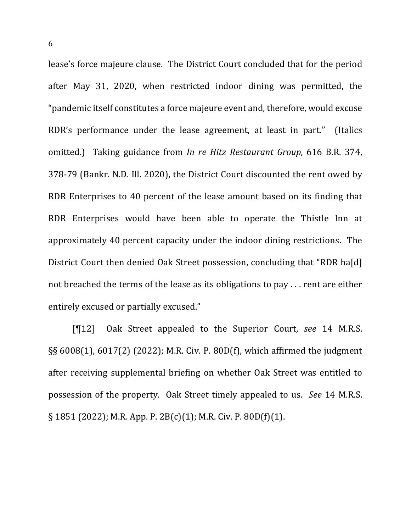lease's force majeure clause. The District Court concluded that for the period after May 31, 2020, when restricted indoor dining was permitted, the "pandemic itself constitutes a force majeure event and, therefore, would excuse RDR's performance under the lease agreement, at least in part." (Italics omitted.) Taking guidance from *In re Hitz Restaurant Group*, 616 B.R. 374, 378-79 (Bankr. N.D. Ill. 2020), the District Court discounted the rent owed by RDR Enterprises to 40 percent of the lease amount based on its finding that RDR Enterprises would have been able to operate the Thistle Inn at approximately 40 percent capacity under the indoor dining restrictions. The District Court then denied Oak Street possession, concluding that "RDR ha[d] not breached the terms of the lease as its obligations to pay  $\dots$  rent are either entirely excused or partially excused."

[¶12] Oak Street appealed to the Superior Court, *see* 14 M.R.S.  $\S$ § 6008(1), 6017(2) (2022); M.R. Civ. P. 80D(f), which affirmed the judgment after receiving supplemental briefing on whether Oak Street was entitled to possession of the property. Oak Street timely appealed to us. See 14 M.R.S.  $\S 1851$  (2022); M.R. App. P. 2B(c)(1); M.R. Civ. P. 80D(f)(1).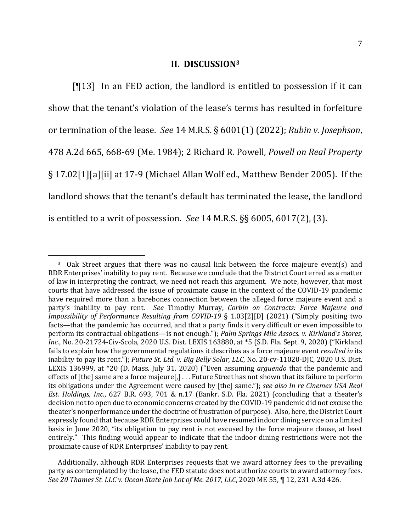#### **II. DISCUSSION3**

 $[13]$  In an FED action, the landlord is entitled to possession if it can show that the tenant's violation of the lease's terms has resulted in forfeiture or termination of the lease. See 14 M.R.S. § 6001(1) (2022); *Rubin v. Josephson*, 478 A.2d 665, 668-69 (Me. 1984); 2 Richard R. Powell, *Powell on Real Property* § 17.02[1][a][ii] at 17-9 (Michael Allan Wolf ed., Matthew Bender 2005). If the landlord shows that the tenant's default has terminated the lease, the landlord is entitled to a writ of possession. *See*  $14$  M.R.S.  $\S$ § 6005, 6017(2), (3).

<sup>&</sup>lt;sup>3</sup> Oak Street argues that there was no causal link between the force majeure event(s) and RDR Enterprises' inability to pay rent. Because we conclude that the District Court erred as a matter of law in interpreting the contract, we need not reach this argument. We note, however, that most courts that have addressed the issue of proximate cause in the context of the COVID-19 pandemic have required more than a barebones connection between the alleged force majeure event and a party's inability to pay rent. See Timothy Murray, Corbin on Contracts: Force Majeure and *Impossibility of Performance Resulting from COVID-19* § 1.03[2][D] (2021) ("Simply positing two facts—that the pandemic has occurred, and that a party finds it very difficult or even impossible to perform its contractual obligations—is not enough."); *Palm Springs Mile Assocs. v. Kirkland's Stores, Inc.*, No. 20-21724-Civ-Scola, 2020 U.S. Dist. LEXIS 163880, at \*5 (S.D. Fla. Sept. 9, 2020) ("Kirkland fails to explain how the governmental regulations it describes as a force majeure event *resulted in* its inability to pay its rent."); *Future St. Ltd. v. Big Belly Solar, LLC*, No. 20-cv-11020-DJC, 2020 U.S. Dist. LEXIS 136999, at \*20 (D. Mass. July 31, 2020) ("Even assuming *arguendo* that the pandemic and effects of [the] same are a force majeure[,] . . . Future Street has not shown that its failure to perform its obligations under the Agreement were caused by [the] same."); *see also In re Cinemex USA Real Est. Holdings, Inc.*, 627 B.R. 693, 701 & n.17 (Bankr. S.D. Fla. 2021) (concluding that a theater's decision not to open due to economic concerns created by the COVID-19 pandemic did not excuse the theater's nonperformance under the doctrine of frustration of purpose). Also, here, the District Court expressly found that because RDR Enterprises could have resumed indoor dining service on a limited basis in June 2020, "its obligation to pay rent is not excused by the force majeure clause, at least entirely." This finding would appear to indicate that the indoor dining restrictions were not the proximate cause of RDR Enterprises' inability to pay rent.

Additionally, although RDR Enterprises requests that we award attorney fees to the prevailing party as contemplated by the lease, the FED statute does not authorize courts to award attorney fees. See 20 Thames St. LLC v. Ocean State Job Lot of Me. 2017, LLC, 2020 ME 55, ¶ 12, 231 A.3d 426.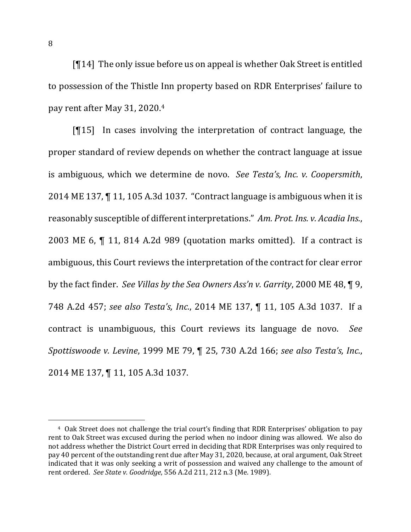$[T14]$  The only issue before us on appeal is whether Oak Street is entitled to possession of the Thistle Inn property based on RDR Enterprises' failure to pay rent after May 31, 2020.<sup>4</sup>

 $[15]$  In cases involving the interpretation of contract language, the proper standard of review depends on whether the contract language at issue is ambiguous, which we determine de novo. See Testa's, Inc. v. Coopersmith, 2014 ME 137,  $\P$  11, 105 A.3d 1037. "Contract language is ambiguous when it is reasonably susceptible of different interpretations." Am. Prot. Ins. v. Acadia Ins., 2003 ME 6,  $\P$  11, 814 A.2d 989 (quotation marks omitted). If a contract is ambiguous, this Court reviews the interpretation of the contract for clear error by the fact finder. See Villas by the Sea Owners Ass'n v. Garrity, 2000 ME 48, **[9.]** 748 A.2d 457; see also Testa's, Inc., 2014 ME 137, ¶ 11, 105 A.3d 1037. If a contract is unambiguous, this Court reviews its language de novo. See *Spottiswoode v. Levine,* 1999 ME 79, ¶ 25, 730 A.2d 166; see also Testa's, Inc., 2014 ME 137, ¶ 11, 105 A.3d 1037.

<sup>&</sup>lt;sup>4</sup> Oak Street does not challenge the trial court's finding that RDR Enterprises' obligation to pay rent to Oak Street was excused during the period when no indoor dining was allowed. We also do not address whether the District Court erred in deciding that RDR Enterprises was only required to pay 40 percent of the outstanding rent due after May 31, 2020, because, at oral argument, Oak Street indicated that it was only seeking a writ of possession and waived any challenge to the amount of rent ordered. See State v. Goodridge, 556 A.2d 211, 212 n.3 (Me. 1989).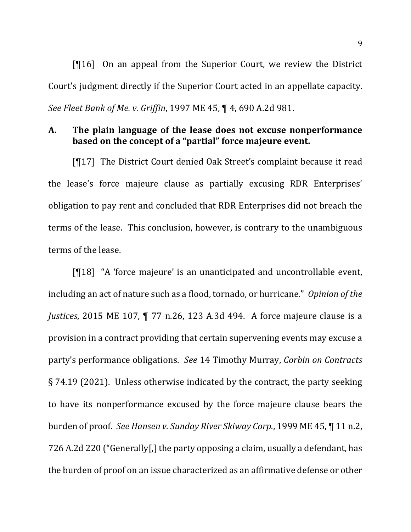$[$ [16] On an appeal from the Superior Court, we review the District Court's judgment directly if the Superior Court acted in an appellate capacity. *See Fleet Bank of Me. v. Griffin,* 1997 ME 45,  $\P$  4, 690 A.2d 981.

# A. The plain language of the lease does not excuse nonperformance based on the concept of a "partial" force majeure event.

 $\lceil \mathcal{F} \rceil$  The District Court denied Oak Street's complaint because it read the lease's force majeure clause as partially excusing RDR Enterprises' obligation to pay rent and concluded that RDR Enterprises did not breach the terms of the lease. This conclusion, however, is contrary to the unambiguous terms of the lease.

[¶18] "A 'force majeure' is an unanticipated and uncontrollable event, including an act of nature such as a flood, tornado, or hurricane." *Opinion of the Justices*, 2015 ME 107, ¶ 77 n.26, 123 A.3d 494. A force majeure clause is a provision in a contract providing that certain supervening events may excuse a party's performance obligations. See 14 Timothy Murray, *Corbin on Contracts*  $\S$  74.19 (2021). Unless otherwise indicated by the contract, the party seeking to have its nonperformance excused by the force majeure clause bears the burden of proof. See Hansen v. Sunday River Skiway Corp., 1999 ME 45, ¶ 11 n.2, 726 A.2d 220 ("Generally[,] the party opposing a claim, usually a defendant, has the burden of proof on an issue characterized as an affirmative defense or other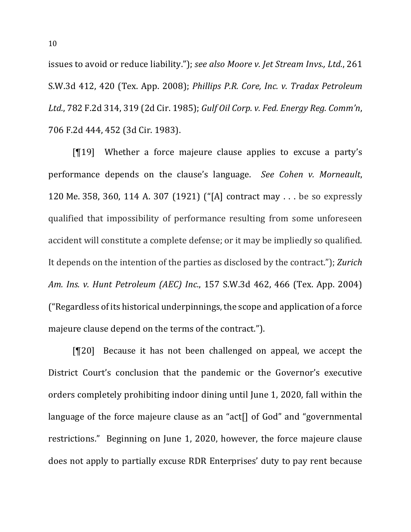issues to avoid or reduce liability."); see also Moore v. Jet Stream Invs., Ltd., 261 S.W.3d 412, 420 (Tex. App. 2008); *Phillips P.R. Core, Inc. v. Tradax Petroleum* Ltd., 782 F.2d 314, 319 (2d Cir. 1985); *Gulf Oil Corp. v. Fed. Energy Reg. Comm'n*, 706 F.2d 444, 452 (3d Cir. 1983).

 $[19]$  Whether a force majeure clause applies to excuse a party's performance depends on the clause's language. *See Cohen v. Morneault*, 120 Me. 358, 360, 114 A. 307 (1921) ("[A] contract may . . . be so expressly qualified that impossibility of performance resulting from some unforeseen accident will constitute a complete defense; or it may be impliedly so qualified. It depends on the intention of the parties as disclosed by the contract."); *Zurich Am. Ins. v. Hunt Petroleum (AEC) Inc.*, 157 S.W.3d 462, 466 (Tex. App. 2004)  $"$ Regardless of its historical underpinnings, the scope and application of a force majeure clause depend on the terms of the contract.").

[¶20] Because it has not been challenged on appeal, we accept the District Court's conclusion that the pandemic or the Governor's executive orders completely prohibiting indoor dining until June 1, 2020, fall within the language of the force majeure clause as an "act<sup>[]</sup> of God" and "governmental restrictions." Beginning on June 1, 2020, however, the force majeure clause does not apply to partially excuse RDR Enterprises' duty to pay rent because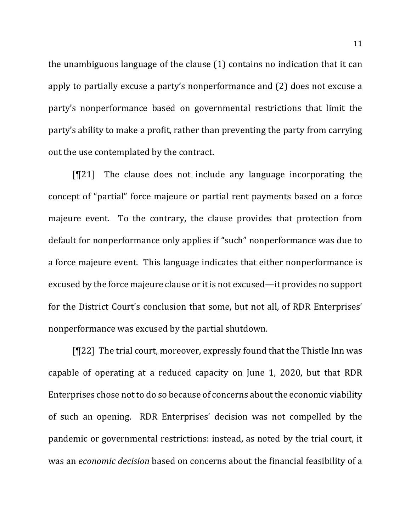the unambiguous language of the clause  $(1)$  contains no indication that it can apply to partially excuse a party's nonperformance and (2) does not excuse a party's nonperformance based on governmental restrictions that limit the party's ability to make a profit, rather than preventing the party from carrying out the use contemplated by the contract.

 $[T21]$  The clause does not include any language incorporating the concept of "partial" force majeure or partial rent payments based on a force majeure event. To the contrary, the clause provides that protection from default for nonperformance only applies if "such" nonperformance was due to a force majeure event. This language indicates that either nonperformance is excused by the force majeure clause or it is not excused—it provides no support for the District Court's conclusion that some, but not all, of RDR Enterprises' nonperformance was excused by the partial shutdown.

 $[T22]$  The trial court, moreover, expressly found that the Thistle Inn was capable of operating at a reduced capacity on June 1, 2020, but that RDR Enterprises chose not to do so because of concerns about the economic viability of such an opening. RDR Enterprises' decision was not compelled by the pandemic or governmental restrictions: instead, as noted by the trial court, it was an *economic decision* based on concerns about the financial feasibility of a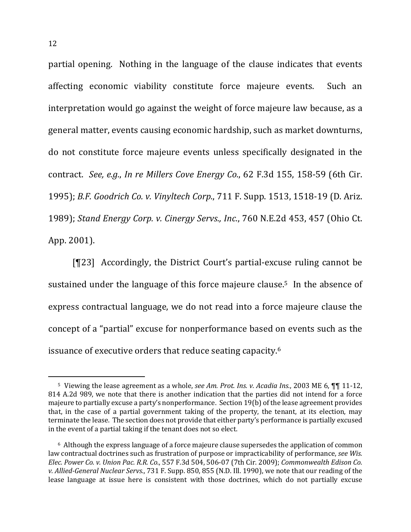partial opening. Nothing in the language of the clause indicates that events affecting economic viability constitute force majeure events. Such an interpretation would go against the weight of force majeure law because, as a general matter, events causing economic hardship, such as market downturns, do not constitute force majeure events unless specifically designated in the contract. *See, e.g.*, *In re Millers Cove Energy Co.*, 62 F.3d 155, 158-59 (6th Cir. 1995); *B.F. Goodrich Co. v. Vinyltech Corp.*, 711 F. Supp. 1513, 1518-19 (D. Ariz.) 1989); *Stand Energy Corp. v. Cinergy Servs., Inc.*, 760 N.E.2d 453, 457 (Ohio Ct. App. 2001).

[¶23] Accordingly, the District Court's partial-excuse ruling cannot be sustained under the language of this force majeure clause.<sup>5</sup> In the absence of express contractual language, we do not read into a force majeure clause the concept of a "partial" excuse for nonperformance based on events such as the issuance of executive orders that reduce seating capacity.<sup>6</sup>

<sup>&</sup>lt;sup>5</sup> Viewing the lease agreement as a whole, *see Am. Prot. Ins. v. Acadia Ins.*, 2003 ME 6, ¶¶ 11-12, 814 A.2d 989, we note that there is another indication that the parties did not intend for a force majeure to partially excuse a party's nonperformance. Section 19(b) of the lease agreement provides that, in the case of a partial government taking of the property, the tenant, at its election, may terminate the lease. The section does not provide that either party's performance is partially excused in the event of a partial taking if the tenant does not so elect.

<sup>&</sup>lt;sup>6</sup> Although the express language of a force majeure clause supersedes the application of common law contractual doctrines such as frustration of purpose or impracticability of performance, *see Wis. Elec. Power Co. v. Union Pac. R.R. Co.*, 557 F.3d 504, 506-07 (7th Cir. 2009); *Commonwealth Edison Co. v. Allied-General Nuclear Servs.*, 731 F. Supp. 850, 855 (N.D. Ill. 1990), we note that our reading of the lease language at issue here is consistent with those doctrines, which do not partially excuse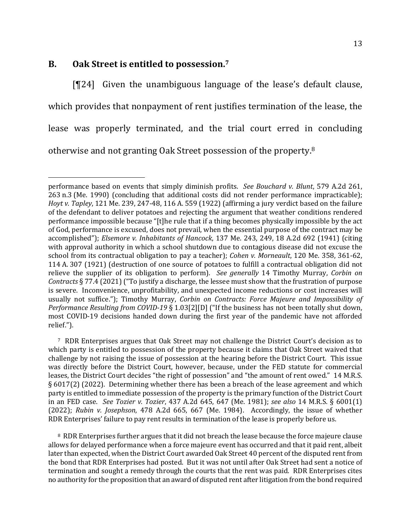## **B.** Oak Street is entitled to possession.<sup>7</sup>

 $[T24]$  Given the unambiguous language of the lease's default clause, which provides that nonpayment of rent justifies termination of the lease, the lease was properly terminated, and the trial court erred in concluding otherwise and not granting Oak Street possession of the property.<sup>8</sup>

<sup>8</sup> RDR Enterprises further argues that it did not breach the lease because the force majeure clause allows for delayed performance when a force majeure event has occurred and that it paid rent, albeit later than expected, when the District Court awarded Oak Street 40 percent of the disputed rent from the bond that RDR Enterprises had posted. But it was not until after Oak Street had sent a notice of termination and sought a remedy through the courts that the rent was paid. RDR Enterprises cites no authority for the proposition that an award of disputed rent after litigation from the bond required

performance based on events that simply diminish profits. *See Bouchard v. Blunt*, 579 A.2d 261, 263 n.3 (Me. 1990) (concluding that additional costs did not render performance impracticable); *Hoyt* v. Tapley, 121 Me. 239, 247-48, 116 A. 559 (1922) (affirming a jury verdict based on the failure of the defendant to deliver potatoes and rejecting the argument that weather conditions rendered performance impossible because "[t]he rule that if a thing becomes physically impossible by the act of God, performance is excused, does not prevail, when the essential purpose of the contract may be accomplished"); *Elsemore v. Inhabitants of Hancock*, 137 Me. 243, 249, 18 A.2d 692 (1941) (citing with approval authority in which a school shutdown due to contagious disease did not excuse the school from its contractual obligation to pay a teacher); *Cohen v. Morneault*, 120 Me. 358, 361-62, 114 A. 307 (1921) (destruction of one source of potatoes to fulfill a contractual obligation did not relieve the supplier of its obligation to perform). See generally 14 Timothy Murray, Corbin on *Contracts* § 77.4 (2021) ("To justify a discharge, the lessee must show that the frustration of purpose is severe. Inconvenience, unprofitability, and unexpected income reductions or cost increases will usually not suffice."); Timothy Murray, *Corbin on Contracts: Force Majeure and Impossibility of Performance Resulting from <i>COVID-19* § 1.03[2][D] ("If the business has not been totally shut down, most COVID-19 decisions handed down during the first year of the pandemic have not afforded relief.").

<sup>7</sup> RDR Enterprises argues that Oak Street may not challenge the District Court's decision as to which party is entitled to possession of the property because it claims that Oak Street waived that challenge by not raising the issue of possession at the hearing before the District Court. This issue was directly before the District Court, however, because, under the FED statute for commercial leases, the District Court decides "the right of possession" and "the amount of rent owed." 14 M.R.S.  $\S 6017(2)$  (2022). Determining whether there has been a breach of the lease agreement and which party is entitled to immediate possession of the property is the primary function of the District Court in an FED case. See Tozier v. Tozier, 437 A.2d 645, 647 (Me. 1981); see also 14 M.R.S. § 6001(1) (2022); Rubin v. Josephson, 478 A.2d 665, 667 (Me. 1984). Accordingly, the issue of whether RDR Enterprises' failure to pay rent results in termination of the lease is properly before us.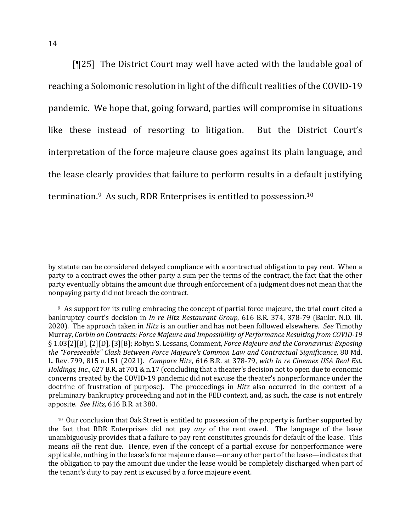[ $[125]$ ] The District Court may well have acted with the laudable goal of reaching a Solomonic resolution in light of the difficult realities of the COVID-19 pandemic. We hope that, going forward, parties will compromise in situations like these instead of resorting to litigation. But the District Court's interpretation of the force majeure clause goes against its plain language, and the lease clearly provides that failure to perform results in a default justifying termination. $9$  As such, RDR Enterprises is entitled to possession.<sup>10</sup>

<sup>10</sup> Our conclusion that Oak Street is entitled to possession of the property is further supported by the fact that RDR Enterprises did not pay *any* of the rent owed. The language of the lease unambiguously provides that a failure to pay rent constitutes grounds for default of the lease. This means *all* the rent due. Hence, even if the concept of a partial excuse for nonperformance were applicable, nothing in the lease's force majeure clause—or any other part of the lease—indicates that the obligation to pay the amount due under the lease would be completely discharged when part of the tenant's duty to pay rent is excused by a force majeure event.

by statute can be considered delayed compliance with a contractual obligation to pay rent. When a party to a contract owes the other party a sum per the terms of the contract, the fact that the other party eventually obtains the amount due through enforcement of a judgment does not mean that the nonpaying party did not breach the contract.

<sup>&</sup>lt;sup>9</sup> As support for its ruling embracing the concept of partial force majeure, the trial court cited a bankruptcy court's decision in *In re Hitz Restaurant Group*, 616 B.R. 374, 378-79 (Bankr. N.D. Ill. 2020). The approach taken in *Hitz* is an outlier and has not been followed elsewhere. See Timothy Murray, *Corbin on Contracts: Force Majeure and Impossibility of Performance Resulting from COVID-19* § 1.03[2][B], [2][D], [3][B]; Robyn S. Lessans, Comment, *Force Majeure and the Coronavirus: Exposing the "Foreseeable" Clash Between Force Majeure's Common Law and Contractual Significance*, 80 Md. L. Rev. 799, 815 n.151 (2021). *Compare Hitz*, 616 B.R. at 378-79, *with In re Cinemex USA Real Est. Holdings, Inc.*, 627 B.R. at 701 & n.17 (concluding that a theater's decision not to open due to economic concerns created by the COVID-19 pandemic did not excuse the theater's nonperformance under the doctrine of frustration of purpose). The proceedings in *Hitz* also occurred in the context of a preliminary bankruptcy proceeding and not in the FED context, and, as such, the case is not entirely apposite. See Hitz, 616 B.R. at 380.